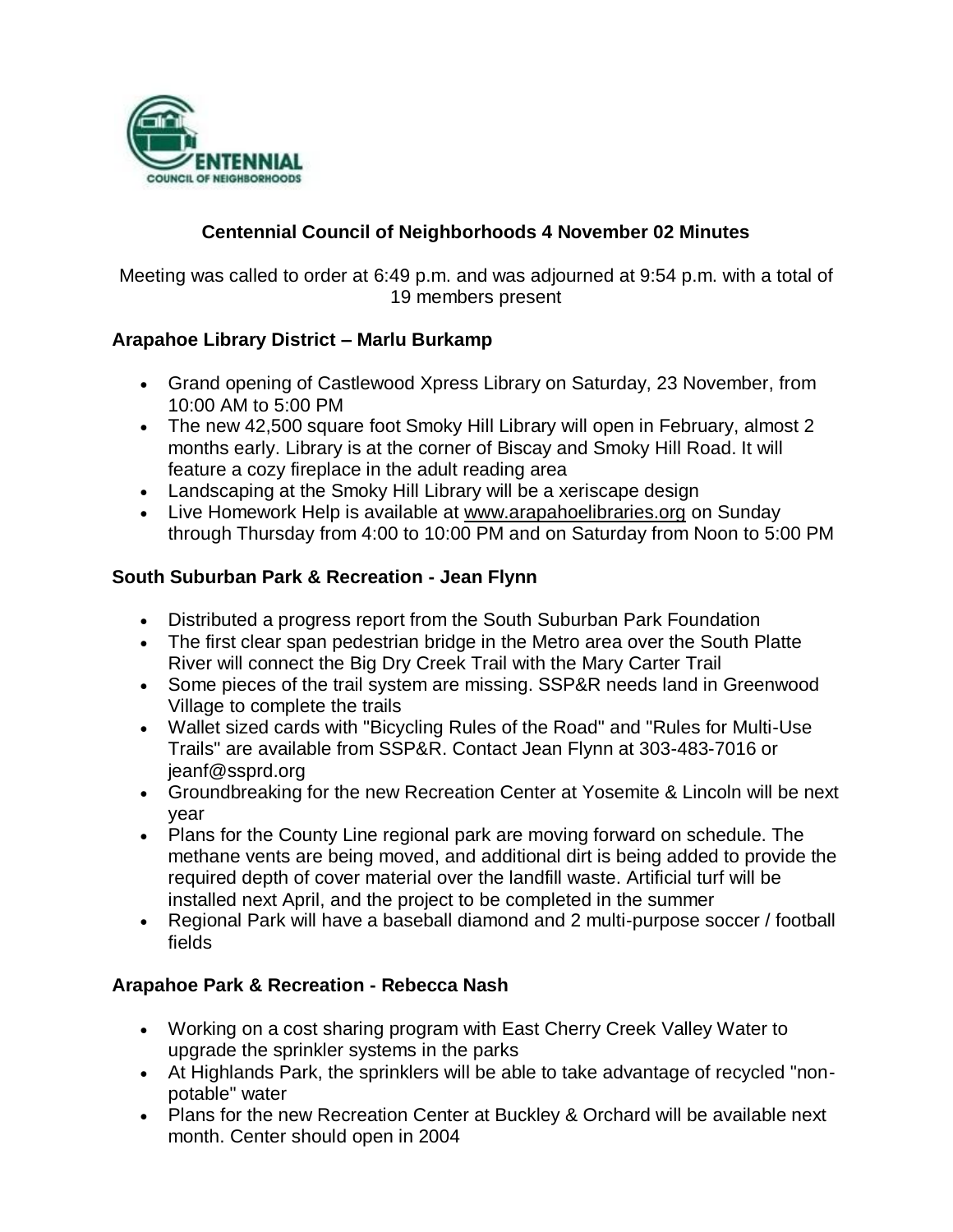

## **Centennial Council of Neighborhoods 4 November 02 Minutes**

Meeting was called to order at 6:49 p.m. and was adjourned at 9:54 p.m. with a total of 19 members present

#### **Arapahoe Library District – Marlu Burkamp**

- Grand opening of Castlewood Xpress Library on Saturday, 23 November, from 10:00 AM to 5:00 PM
- The new 42,500 square foot Smoky Hill Library will open in February, almost 2 months early. Library is at the corner of Biscay and Smoky Hill Road. It will feature a cozy fireplace in the adult reading area
- Landscaping at the Smoky Hill Library will be a xeriscape design
- Live Homework Help is available at www.arapahoelibraries.org on Sunday through Thursday from 4:00 to 10:00 PM and on Saturday from Noon to 5:00 PM

#### **South Suburban Park & Recreation - Jean Flynn**

- Distributed a progress report from the South Suburban Park Foundation
- The first clear span pedestrian bridge in the Metro area over the South Platte River will connect the Big Dry Creek Trail with the Mary Carter Trail
- Some pieces of the trail system are missing. SSP&R needs land in Greenwood Village to complete the trails
- Wallet sized cards with "Bicycling Rules of the Road" and "Rules for Multi-Use Trails" are available from SSP&R. Contact Jean Flynn at 303-483-7016 or jeanf@ssprd.org
- Groundbreaking for the new Recreation Center at Yosemite & Lincoln will be next year
- Plans for the County Line regional park are moving forward on schedule. The methane vents are being moved, and additional dirt is being added to provide the required depth of cover material over the landfill waste. Artificial turf will be installed next April, and the project to be completed in the summer
- Regional Park will have a baseball diamond and 2 multi-purpose soccer / football fields

## **Arapahoe Park & Recreation - Rebecca Nash**

- Working on a cost sharing program with East Cherry Creek Valley Water to upgrade the sprinkler systems in the parks
- At Highlands Park, the sprinklers will be able to take advantage of recycled "nonpotable" water
- Plans for the new Recreation Center at Buckley & Orchard will be available next month. Center should open in 2004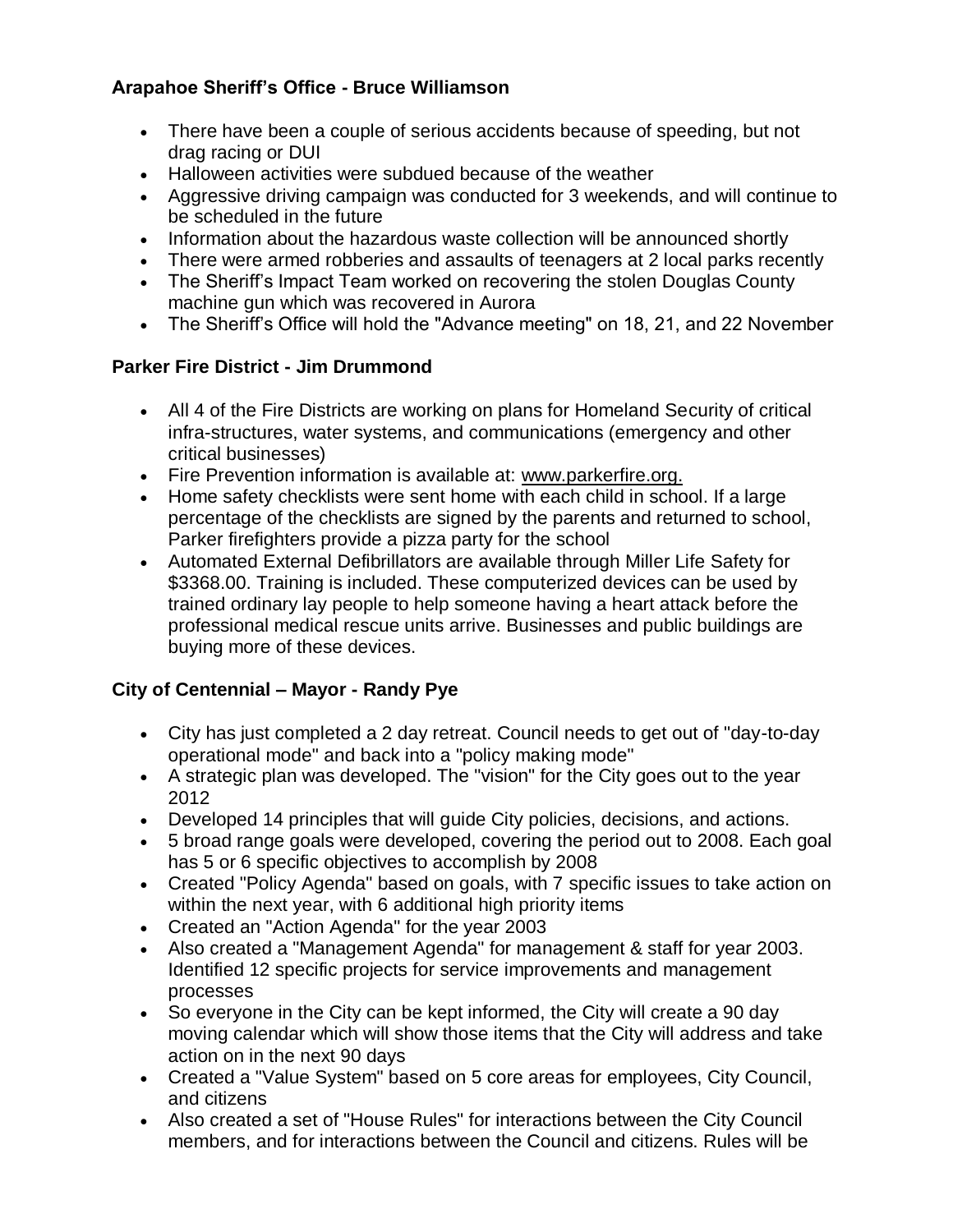## **Arapahoe Sheriff's Office - Bruce Williamson**

- There have been a couple of serious accidents because of speeding, but not drag racing or DUI
- Halloween activities were subdued because of the weather
- Aggressive driving campaign was conducted for 3 weekends, and will continue to be scheduled in the future
- Information about the hazardous waste collection will be announced shortly
- There were armed robberies and assaults of teenagers at 2 local parks recently
- The Sheriff's Impact Team worked on recovering the stolen Douglas County machine gun which was recovered in Aurora
- The Sheriff's Office will hold the "Advance meeting" on 18, 21, and 22 November

#### **Parker Fire District - Jim Drummond**

- All 4 of the Fire Districts are working on plans for Homeland Security of critical infra-structures, water systems, and communications (emergency and other critical businesses)
- Fire Prevention information is available at: www.parkerfire.org.
- Home safety checklists were sent home with each child in school. If a large percentage of the checklists are signed by the parents and returned to school, Parker firefighters provide a pizza party for the school
- Automated External Defibrillators are available through Miller Life Safety for \$3368.00. Training is included. These computerized devices can be used by trained ordinary lay people to help someone having a heart attack before the professional medical rescue units arrive. Businesses and public buildings are buying more of these devices.

## **City of Centennial – Mayor - Randy Pye**

- City has just completed a 2 day retreat. Council needs to get out of "day-to-day operational mode" and back into a "policy making mode"
- A strategic plan was developed. The "vision" for the City goes out to the year 2012
- Developed 14 principles that will guide City policies, decisions, and actions.
- 5 broad range goals were developed, covering the period out to 2008. Each goal has 5 or 6 specific objectives to accomplish by 2008
- Created "Policy Agenda" based on goals, with 7 specific issues to take action on within the next year, with 6 additional high priority items
- Created an "Action Agenda" for the year 2003
- Also created a "Management Agenda" for management & staff for year 2003. Identified 12 specific projects for service improvements and management processes
- So everyone in the City can be kept informed, the City will create a 90 day moving calendar which will show those items that the City will address and take action on in the next 90 days
- Created a "Value System" based on 5 core areas for employees, City Council, and citizens
- Also created a set of "House Rules" for interactions between the City Council members, and for interactions between the Council and citizens. Rules will be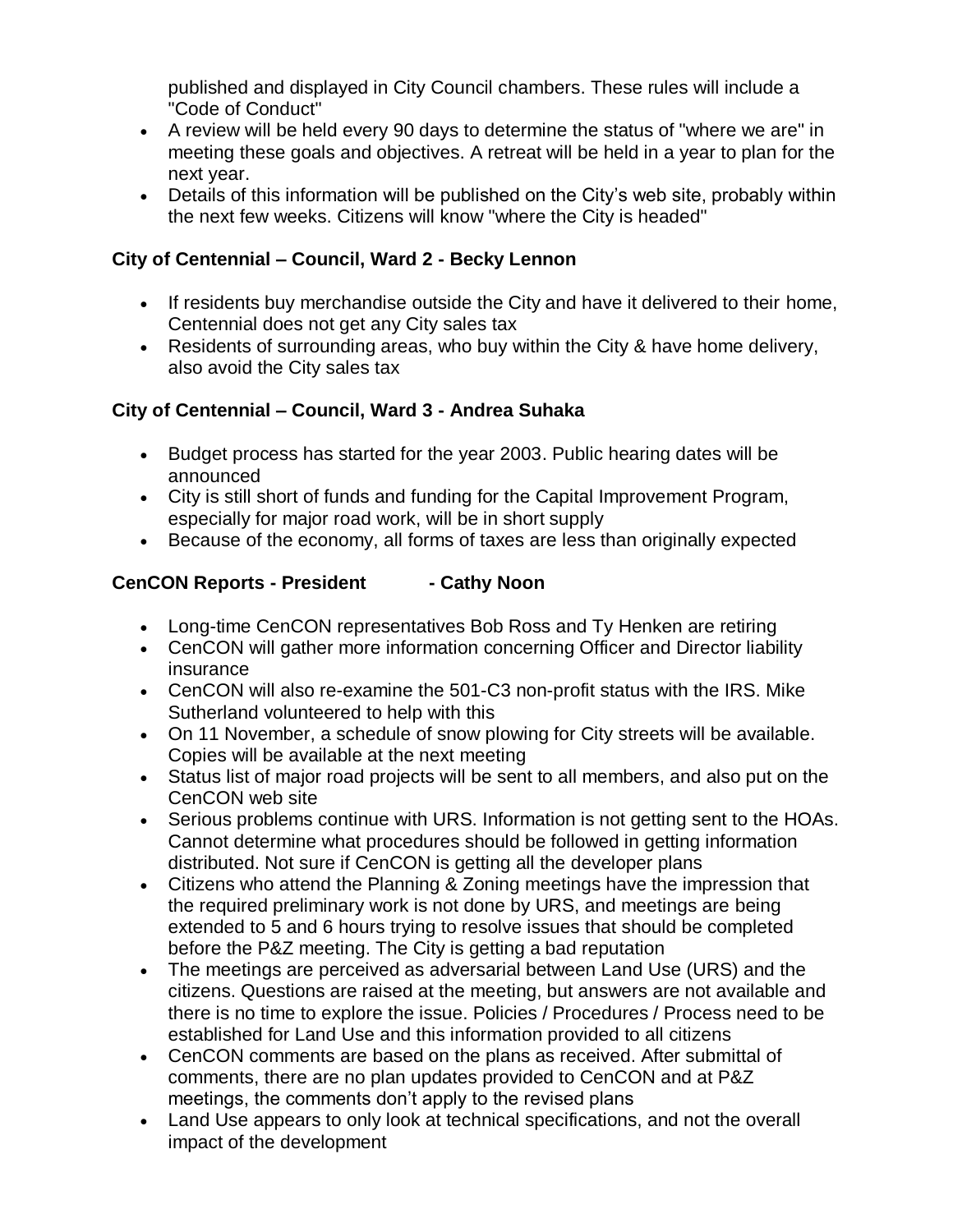published and displayed in City Council chambers. These rules will include a "Code of Conduct"

- A review will be held every 90 days to determine the status of "where we are" in meeting these goals and objectives. A retreat will be held in a year to plan for the next year.
- Details of this information will be published on the City's web site, probably within the next few weeks. Citizens will know "where the City is headed"

## **City of Centennial – Council, Ward 2 - Becky Lennon**

- If residents buy merchandise outside the City and have it delivered to their home, Centennial does not get any City sales tax
- Residents of surrounding areas, who buy within the City & have home delivery, also avoid the City sales tax

# **City of Centennial – Council, Ward 3 - Andrea Suhaka**

- Budget process has started for the year 2003. Public hearing dates will be announced
- City is still short of funds and funding for the Capital Improvement Program, especially for major road work, will be in short supply
- Because of the economy, all forms of taxes are less than originally expected

# **CenCON Reports - President - Cathy Noon**

- Long-time CenCON representatives Bob Ross and Ty Henken are retiring
- CenCON will gather more information concerning Officer and Director liability insurance
- CenCON will also re-examine the 501-C3 non-profit status with the IRS. Mike Sutherland volunteered to help with this
- On 11 November, a schedule of snow plowing for City streets will be available. Copies will be available at the next meeting
- Status list of major road projects will be sent to all members, and also put on the CenCON web site
- Serious problems continue with URS. Information is not getting sent to the HOAs. Cannot determine what procedures should be followed in getting information distributed. Not sure if CenCON is getting all the developer plans
- Citizens who attend the Planning & Zoning meetings have the impression that the required preliminary work is not done by URS, and meetings are being extended to 5 and 6 hours trying to resolve issues that should be completed before the P&Z meeting. The City is getting a bad reputation
- The meetings are perceived as adversarial between Land Use (URS) and the citizens. Questions are raised at the meeting, but answers are not available and there is no time to explore the issue. Policies / Procedures / Process need to be established for Land Use and this information provided to all citizens
- CenCON comments are based on the plans as received. After submittal of comments, there are no plan updates provided to CenCON and at P&Z meetings, the comments don't apply to the revised plans
- Land Use appears to only look at technical specifications, and not the overall impact of the development